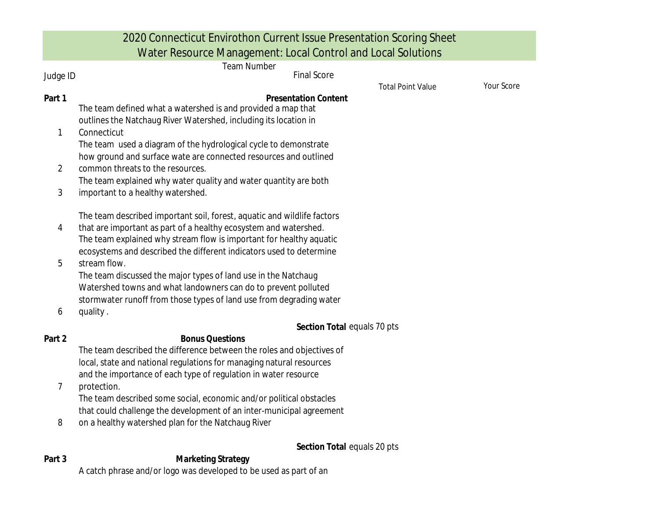|                | 2020 Connecticut Envirothon Current Issue Presentation Scoring Sheet<br>Water Resource Management: Local Control and Local Solutions                |            |
|----------------|-----------------------------------------------------------------------------------------------------------------------------------------------------|------------|
|                | <b>Team Number</b>                                                                                                                                  |            |
| Judge ID       | <b>Final Score</b><br><b>Total Point Value</b>                                                                                                      | Your Score |
| Part 1         | <b>Presentation Content</b><br>The team defined what a watershed is and provided a map that                                                         |            |
| 1              | outlines the Natchaug River Watershed, including its location in<br>Connecticut<br>The team used a diagram of the hydrological cycle to demonstrate |            |
|                | how ground and surface wate are connected resources and outlined                                                                                    |            |
| 2              | common threats to the resources.                                                                                                                    |            |
| $\mathfrak{Z}$ | The team explained why water quality and water quantity are both<br>important to a healthy watershed.                                               |            |
|                | The team described important soil, forest, aquatic and wildlife factors                                                                             |            |
| 4              | that are important as part of a healthy ecosystem and watershed.                                                                                    |            |
|                | The team explained why stream flow is important for healthy aquatic                                                                                 |            |
| 5              | ecosystems and described the different indicators used to determine<br>stream flow.                                                                 |            |
|                | The team discussed the major types of land use in the Natchaug                                                                                      |            |
|                | Watershed towns and what landowners can do to prevent polluted                                                                                      |            |
| 6              | stormwater runoff from those types of land use from degrading water<br>quality.                                                                     |            |
|                | Section Total equals 70 pts                                                                                                                         |            |
| Part 2         | <b>Bonus Questions</b>                                                                                                                              |            |
|                | The team described the difference between the roles and objectives of                                                                               |            |
|                | local, state and national regulations for managing natural resources                                                                                |            |
| 7              | and the importance of each type of regulation in water resource<br>protection.                                                                      |            |
|                | The team described some social, economic and/or political obstacles                                                                                 |            |
|                | that could challenge the development of an inter-municipal agreement                                                                                |            |
| 8              | on a healthy watershed plan for the Natchaug River                                                                                                  |            |

Section Total equals 20 pts

**Part 3 Marketing Strategy** A catch phrase and/or logo was developed to be used as part of an